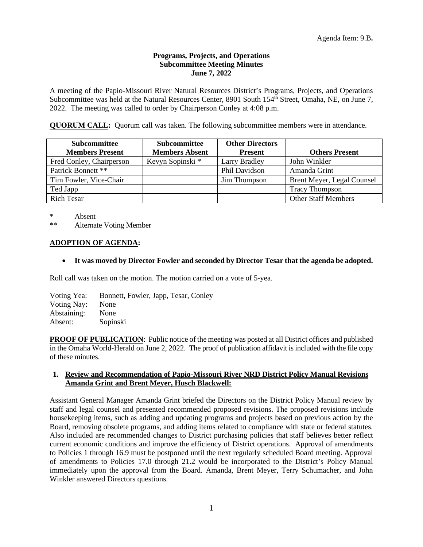## **Programs, Projects, and Operations Subcommittee Meeting Minutes June 7, 2022**

A meeting of the Papio-Missouri River Natural Resources District's Programs, Projects, and Operations Subcommittee was held at the Natural Resources Center, 8901 South 154<sup>th</sup> Street, Omaha, NE, on June 7, 2022. The meeting was called to order by Chairperson Conley at 4:08 p.m.

**QUORUM CALL:** Quorum call was taken. The following subcommittee members were in attendance.

| <b>Subcommittee</b><br><b>Members Present</b> | <b>Subcommittee</b><br><b>Members Absent</b> | <b>Other Directors</b><br><b>Present</b> | <b>Others Present</b>      |
|-----------------------------------------------|----------------------------------------------|------------------------------------------|----------------------------|
| Fred Conley, Chairperson                      | Kevyn Sopinski *                             | Larry Bradley                            | John Winkler               |
| Patrick Bonnett **                            |                                              | Phil Davidson                            | Amanda Grint               |
| Tim Fowler, Vice-Chair                        |                                              | Jim Thompson                             | Brent Meyer, Legal Counsel |
| Ted Japp                                      |                                              |                                          | <b>Tracy Thompson</b>      |
| <b>Rich Tesar</b>                             |                                              |                                          | <b>Other Staff Members</b> |

\* Absent

\*\* Alternate Voting Member

## **ADOPTION OF AGENDA:**

• **It was moved by Director Fowler and seconded by Director Tesar that the agenda be adopted.**

Roll call was taken on the motion. The motion carried on a vote of 5-yea.

Voting Yea: Bonnett, Fowler, Japp, Tesar, Conley Voting Nay: None Abstaining: None Absent: Sopinski

**PROOF OF PUBLICATION**: Public notice of the meeting was posted at all District offices and published in the Omaha World-Herald on June 2, 2022. The proof of publication affidavit is included with the file copy of these minutes.

## **1. Review and Recommendation of Papio-Missouri River NRD District Policy Manual Revisions Amanda Grint and Brent Meyer, Husch Blackwell:**

Assistant General Manager Amanda Grint briefed the Directors on the District Policy Manual review by staff and legal counsel and presented recommended proposed revisions. The proposed revisions include housekeeping items, such as adding and updating programs and projects based on previous action by the Board, removing obsolete programs, and adding items related to compliance with state or federal statutes. Also included are recommended changes to District purchasing policies that staff believes better reflect current economic conditions and improve the efficiency of District operations. Approval of amendments to Policies 1 through 16.9 must be postponed until the next regularly scheduled Board meeting. Approval of amendments to Policies 17.0 through 21.2 would be incorporated to the District's Policy Manual immediately upon the approval from the Board. Amanda, Brent Meyer, Terry Schumacher, and John Winkler answered Directors questions.